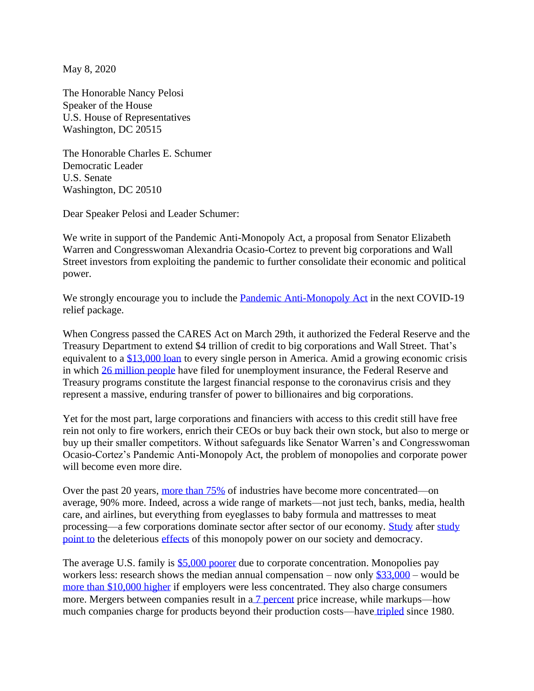May 8, 2020

The Honorable Nancy Pelosi Speaker of the House U.S. House of Representatives Washington, DC 20515

The Honorable Charles E. Schumer Democratic Leader U.S. Senate Washington, DC 20510

Dear Speaker Pelosi and Leader Schumer:

We write in support of the Pandemic Anti-Monopoly Act, a proposal from Senator Elizabeth Warren and Congresswoman Alexandria Ocasio-Cortez to prevent big corporations and Wall Street investors from exploiting the pandemic to further consolidate their economic and political power.

We strongly encourage you to include the [Pandemic Anti-Monopoly Act](https://www.warren.senate.gov/imo/media/doc/Merger%20Moratorium%20One%20Pager.pdf) in the next COVID-19 relief package.

When Congress passed the CARES Act on March 29th, it authorized the Federal Reserve and the Treasury Department to extend \$4 trillion of credit to big corporations and Wall Street. That's equivalent to a [\\$13,000 loan](https://static1.squarespace.com/static/5df44e0792ff6a63789b5c02/t/5e973cdcb00b992d1ceb9b50/1586969820773/Corporate+Power+Quick+Takes_1_CARES+Act+Explainer.pdf) to every single person in America. Amid a growing economic crisis in which [26 million people](https://www.nbcnews.com/business/business-news/u-s-jobless-claims-reach-26-million-coronavirus-hit-wiping-n1190296) have filed for unemployment insurance, the Federal Reserve and Treasury programs constitute the largest financial response to the coronavirus crisis and they represent a massive, enduring transfer of power to billionaires and big corporations.

Yet for the most part, large corporations and financiers with access to this credit still have free rein not only to fire workers, enrich their CEOs or buy back their own stock, but also to merge or buy up their smaller competitors. Without safeguards like Senator Warren's and Congresswoman Ocasio-Cortez's Pandemic Anti-Monopoly Act, the problem of monopolies and corporate power will become even more dire.

Over the past 20 years, [more than 75%](https://papers.ssrn.com/sol3/papers.cfm?abstract_id=2612047) of industries have become more concentrated—on average, 90% more. Indeed, across a wide range of markets—not just tech, banks, media, health care, and airlines, but everything from eyeglasses to baby formula and mattresses to meat processing—a few corporations dominate sector after sector of our economy. [Study](https://papers.ssrn.com/sol3/papers.cfm?abstract_id=3088767) after [study](https://mitpress.mit.edu/books/mergers-merger-control-and-remedies) [point to](https://www.citylab.com/equity/2018/05/study-when-local-newspaper-close-city-bond-finances-suffer/561422/) the deleterious [effects](https://journals.sagepub.com/doi/full/10.1177/0003122418762441) of this monopoly power on our society and democracy.

The average U.S. family is [\\$5,000 poorer](https://www.nytimes.com/2019/11/10/opinion/big-business-consumer-prices.html) due to corporate concentration. Monopolies pay workers less: research shows the median annual compensation – now only  $$33,000$  – would be [more than \\$10,000 higher](https://harvardlawreview.org/2018/12/antitrust-remedies-for-labor-market-power/) if employers were less concentrated. They also charge consumers more. Mergers between companies result in a [7 percent](https://canvas.harvard.edu/courses/20294/files/3504201/download?verifier=MYIniwEBcanokqyYA5dpbSHnT5J2VR9dE8q3KPmd&wrap=1) price increase, while markups—how much companies charge for products beyond their production costs—have [tripled](http://www.janeeckhout.com/wp-content/uploads/RMP.pdf) since 1980.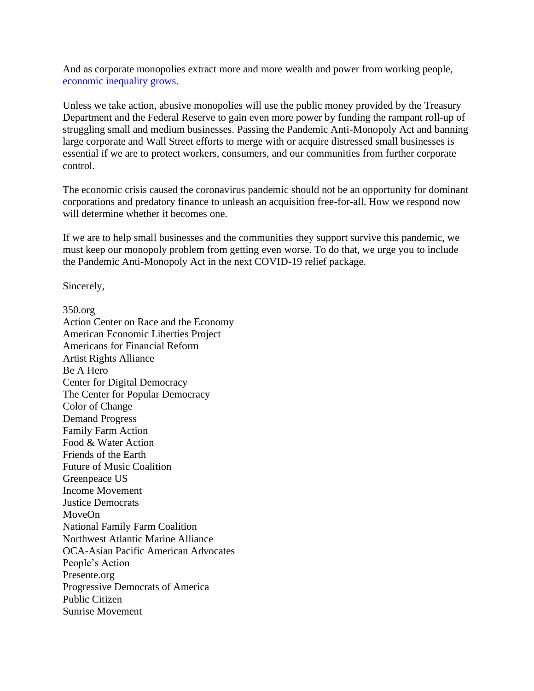And as corporate monopolies extract more and more wealth and power from working people, [economic inequality grows.](https://obamawhitehouse.archives.gov/sites/default/files/page/files/20161025_monopsony_labor_mrkt_cea.pdf)

Unless we take action, abusive monopolies will use the public money provided by the Treasury Department and the Federal Reserve to gain even more power by funding the rampant roll-up of struggling small and medium businesses. Passing the Pandemic Anti-Monopoly Act and banning large corporate and Wall Street efforts to merge with or acquire distressed small businesses is essential if we are to protect workers, consumers, and our communities from further corporate control.

The economic crisis caused the coronavirus pandemic should not be an opportunity for dominant corporations and predatory finance to unleash an acquisition free-for-all. How we respond now will determine whether it becomes one.

If we are to help small businesses and the communities they support survive this pandemic, we must keep our monopoly problem from getting even worse. To do that, we urge you to include the Pandemic Anti-Monopoly Act in the next COVID-19 relief package.

Sincerely,

350.org Action Center on Race and the Economy American Economic Liberties Project Americans for Financial Reform Artist Rights Alliance Be A Hero Center for Digital Democracy The Center for Popular Democracy Color of Change Demand Progress Family Farm Action Food & Water Action Friends of the Earth Future of Music Coalition Greenpeace US Income Movement Justice Democrats MoveOn National Family Farm Coalition Northwest Atlantic Marine Alliance OCA-Asian Pacific American Advocates People's Action Presente.org Progressive Democrats of America Public Citizen Sunrise Movement